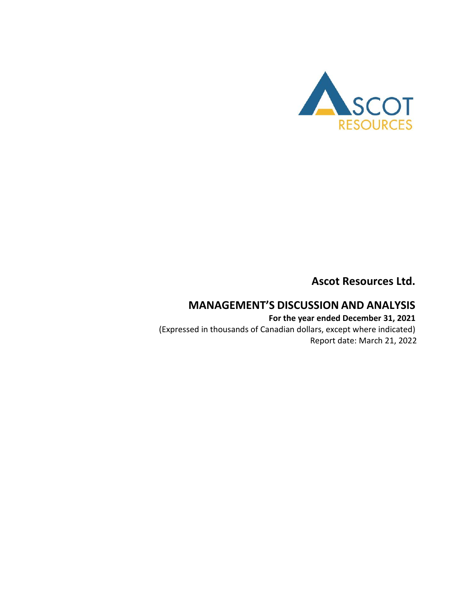

**Ascot Resources Ltd.**

# **MANAGEMENT'S DISCUSSION AND ANALYSIS**

**For the year ended December 31, 2021** (Expressed in thousands of Canadian dollars, except where indicated) Report date: March 21, 2022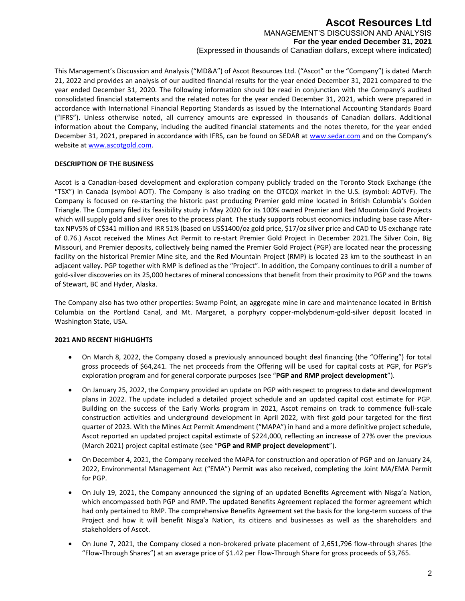This Management's Discussion and Analysis ("MD&A") of Ascot Resources Ltd. ("Ascot" or the "Company") is dated March 21, 2022 and provides an analysis of our audited financial results for the year ended December 31, 2021 compared to the year ended December 31, 2020. The following information should be read in conjunction with the Company's audited consolidated financial statements and the related notes for the year ended December 31, 2021, which were prepared in accordance with International Financial Reporting Standards as issued by the International Accounting Standards Board ("IFRS"). Unless otherwise noted, all currency amounts are expressed in thousands of Canadian dollars. Additional information about the Company, including the audited financial statements and the notes thereto, for the year ended December 31, 2021, prepared in accordance with IFRS, can be found on SEDAR at [www.sedar.com](http://www.sedar.com/) and on the Company's website a[t www.ascotgold.com.](http://www.ascotgold.com/)

## **DESCRIPTION OF THE BUSINESS**

Ascot is a Canadian-based development and exploration company publicly traded on the Toronto Stock Exchange (the "TSX") in Canada (symbol AOT). The Company is also trading on the OTCQX market in the U.S. (symbol: AOTVF). The Company is focused on re-starting the historic past producing Premier gold mine located in British Columbia's Golden Triangle. The Company filed its feasibility study in May 2020 for its 100% owned Premier and Red Mountain Gold Projects which will supply gold and silver ores to the process plant. The study supports robust economics including base case Aftertax NPV5% of C\$341 million and IRR 51% (based on US\$1400/oz gold price, \$17/oz silver price and CAD to US exchange rate of 0.76.) Ascot received the Mines Act Permit to re-start Premier Gold Project in December 2021.The Silver Coin, Big Missouri, and Premier deposits, collectively being named the Premier Gold Project (PGP) are located near the processing facility on the historical Premier Mine site, and the Red Mountain Project (RMP) is located 23 km to the southeast in an adjacent valley. PGP together with RMP is defined as the "Project". In addition, the Company continues to drill a number of gold-silver discoveries on its 25,000 hectares of mineral concessions that benefit from their proximity to PGP and the towns of Stewart, BC and Hyder, Alaska.

The Company also has two other properties: Swamp Point, an aggregate mine in care and maintenance located in British Columbia on the Portland Canal, and Mt. Margaret, a porphyry copper-molybdenum-gold-silver deposit located in Washington State, USA.

## **2021 AND RECENT HIGHLIGHTS**

- On March 8, 2022, the Company closed a previously announced bought deal financing (the "Offering") for total gross proceeds of \$64,241. The net proceeds from the Offering will be used for capital costs at PGP, for PGP's exploration program and for general corporate purposes (see "**PGP and RMP project development**").
- On January 25, 2022, the Company provided an update on PGP with respect to progress to date and development plans in 2022. The update included a detailed project schedule and an updated capital cost estimate for PGP. Building on the success of the Early Works program in 2021, Ascot remains on track to commence full-scale construction activities and underground development in April 2022, with first gold pour targeted for the first quarter of 2023. With the Mines Act Permit Amendment ("MAPA") in hand and a more definitive project schedule, Ascot reported an updated project capital estimate of \$224,000, reflecting an increase of 27% over the previous (March 2021) project capital estimate (see "**PGP and RMP project development**").
- On December 4, 2021, the Company received the MAPA for construction and operation of PGP and on January 24, 2022, Environmental Management Act ("EMA") Permit was also received, completing the Joint MA/EMA Permit for PGP.
- On July 19, 2021, the Company announced the signing of an updated Benefits Agreement with Nisga'a Nation, which encompassed both PGP and RMP. The updated Benefits Agreement replaced the former agreement which had only pertained to RMP. The comprehensive Benefits Agreement set the basis for the long-term success of the Project and how it will benefit Nisga'a Nation, its citizens and businesses as well as the shareholders and stakeholders of Ascot.
- On June 7, 2021, the Company closed a non-brokered private placement of 2,651,796 flow-through shares (the "Flow-Through Shares") at an average price of \$1.42 per Flow-Through Share for gross proceeds of \$3,765.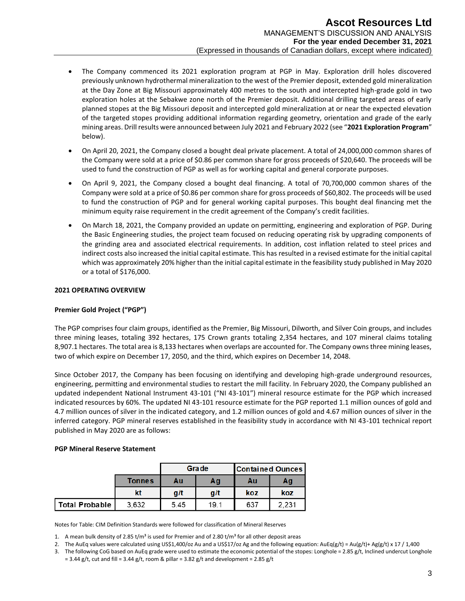- The Company commenced its 2021 exploration program at PGP in May. Exploration drill holes discovered previously unknown hydrothermal mineralization to the west of the Premier deposit, extended gold mineralization at the Day Zone at Big Missouri approximately 400 metres to the south and intercepted high-grade gold in two exploration holes at the Sebakwe zone north of the Premier deposit. Additional drilling targeted areas of early planned stopes at the Big Missouri deposit and intercepted gold mineralization at or near the expected elevation of the targeted stopes providing additional information regarding geometry, orientation and grade of the early mining areas. Drill results were announced between July 2021 and February 2022 (see "**2021 Exploration Program**" below).
- On April 20, 2021, the Company closed a bought deal private placement. A total of 24,000,000 common shares of the Company were sold at a price of \$0.86 per common share for gross proceeds of \$20,640. The proceeds will be used to fund the construction of PGP as well as for working capital and general corporate purposes.
- On April 9, 2021, the Company closed a bought deal financing. A total of 70,700,000 common shares of the Company were sold at a price of \$0.86 per common share for gross proceeds of \$60,802. The proceeds will be used to fund the construction of PGP and for general working capital purposes. This bought deal financing met the minimum equity raise requirement in the credit agreement of the Company's credit facilities.
- On March 18, 2021, the Company provided an update on permitting, engineering and exploration of PGP. During the Basic Engineering studies, the project team focused on reducing operating risk by upgrading components of the grinding area and associated electrical requirements. In addition, cost inflation related to steel prices and indirect costs also increased the initial capital estimate. This has resulted in a revised estimate for the initial capital which was approximately 20% higher than the initial capital estimate in the feasibility study published in May 2020 or a total of \$176,000.

## **2021 OPERATING OVERVIEW**

## **Premier Gold Project ("PGP")**

The PGP comprises four claim groups, identified as the Premier, Big Missouri, Dilworth, and Silver Coin groups, and includes three mining leases, totaling 392 hectares, 175 Crown grants totaling 2,354 hectares, and 107 mineral claims totaling 8,907.1 hectares. The total area is 8,133 hectares when overlaps are accounted for. The Company owns three mining leases, two of which expire on December 17, 2050, and the third, which expires on December 14, 2048.

Since October 2017, the Company has been focusing on identifying and developing high-grade underground resources, engineering, permitting and environmental studies to restart the mill facility. In February 2020, the Company published an updated independent National Instrument 43-101 ("NI 43-101") mineral resource estimate for the PGP which increased indicated resources by 60%. The updated NI 43-101 resource estimate for the PGP reported 1.1 million ounces of gold and 4.7 million ounces of silver in the indicated category, and 1.2 million ounces of gold and 4.67 million ounces of silver in the inferred category. PGP mineral reserves established in the feasibility study in accordance with NI 43-101 technical report published in May 2020 are as follows:

#### **PGP Mineral Reserve Statement**

|                       |        |      | Grade | <b>Contained Ounces</b> |       |
|-----------------------|--------|------|-------|-------------------------|-------|
|                       | Tonnes | Αu   | Αg    | Au                      | Αg    |
|                       | kt     | g/t  | g/t   | koz                     | koz   |
| <b>Total Probable</b> | 3,632  | 5.45 | 19.1  | 637                     | 2,231 |

Notes for Table: CIM Definition Standards were followed for classification of Mineral Reserves

1. A mean bulk density of 2.85 t/m<sup>3</sup> is used for Premier and of 2.80 t/m<sup>3</sup> for all other deposit areas

- 2. The AuEq values were calculated using US\$1,400/oz Au and a US\$17/oz Ag and the following equation:  $AuEq(g/t) = Au(g/t) + Ag(g/t) \times 17 / 1,400$
- 3. The following CoG based on AuEq grade were used to estimate the economic potential of the stopes: Longhole =  $2.85$  g/t, Inclined undercut Longhole  $= 3.44$  g/t, cut and fill  $= 3.44$  g/t, room & pillar  $= 3.82$  g/t and development  $= 2.85$  g/t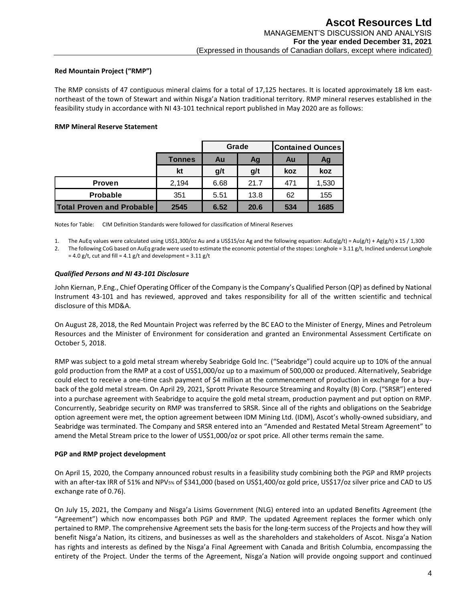## **Red Mountain Project ("RMP")**

The RMP consists of 47 contiguous mineral claims for a total of 17,125 hectares. It is located approximately 18 km eastnortheast of the town of Stewart and within Nisga'a Nation traditional territory. RMP mineral reserves established in the feasibility study in accordance with NI 43-101 technical report published in May 2020 are as follows:

## **RMP Mineral Reserve Statement**

|                                  |               |          | Grade | <b>Contained Ounces</b> |       |  |
|----------------------------------|---------------|----------|-------|-------------------------|-------|--|
|                                  | <b>Tonnes</b> | Au<br>Ag |       | Au                      | Ag    |  |
|                                  | kt            | g/t      | g/t   | koz                     | koz   |  |
| <b>Proven</b>                    | 2,194         | 6.68     | 21.7  | 471                     | 1,530 |  |
| <b>Probable</b>                  | 351           | 5.51     | 13.8  | 62                      | 155   |  |
| <b>Total Proven and Probable</b> | 2545          | 6.52     | 20.6  | 534                     | 1685  |  |

Notes for Table: CIM Definition Standards were followed for classification of Mineral Reserves

1. The AuEq values were calculated using US\$1,300/oz Au and a US\$15/oz Ag and the following equation: AuEq(g/t) = Au(g/t) + Ag(g/t) x 15 / 1,300

2. The following CoG based on AuEq grade were used to estimate the economic potential of the stopes: Longhole =  $3.11$  g/t, Inclined undercut Longhole  $= 4.0$  g/t, cut and fill =  $4.1$  g/t and development =  $3.11$  g/t

#### *Qualified Persons and NI 43-101 Disclosure*

John Kiernan, P.Eng., Chief Operating Officer of the Company is the Company's Qualified Person (QP) as defined by National Instrument 43-101 and has reviewed, approved and takes responsibility for all of the written scientific and technical disclosure of this MD&A.

On August 28, 2018, the Red Mountain Project was referred by the BC EAO to the Minister of Energy, Mines and Petroleum Resources and the Minister of Environment for consideration and granted an Environmental Assessment Certificate on October 5, 2018.

RMP was subject to a gold metal stream whereby Seabridge Gold Inc. ("Seabridge") could acquire up to 10% of the annual gold production from the RMP at a cost of US\$1,000/oz up to a maximum of 500,000 oz produced. Alternatively, Seabridge could elect to receive a one-time cash payment of \$4 million at the commencement of production in exchange for a buyback of the gold metal stream. On April 29, 2021, Sprott Private Resource Streaming and Royalty (B) Corp. ("SRSR") entered into a purchase agreement with Seabridge to acquire the gold metal stream, production payment and put option on RMP. Concurrently, Seabridge security on RMP was transferred to SRSR. Since all of the rights and obligations on the Seabridge option agreement were met, the option agreement between IDM Mining Ltd. (IDM), Ascot's wholly-owned subsidiary, and Seabridge was terminated. The Company and SRSR entered into an "Amended and Restated Metal Stream Agreement" to amend the Metal Stream price to the lower of US\$1,000/oz or spot price. All other terms remain the same.

#### **PGP and RMP project development**

On April 15, 2020, the Company announced robust results in a feasibility study combining both the PGP and RMP projects with an after-tax IRR of 51% and NPV5% of \$341,000 (based on US\$1,400/oz gold price, US\$17/oz silver price and CAD to US exchange rate of 0.76).

On July 15, 2021, the Company and Nisga'a Lisims Government (NLG) entered into an updated Benefits Agreement (the "Agreement") which now encompasses both PGP and RMP. The updated Agreement replaces the former which only pertained to RMP. The comprehensive Agreement sets the basis for the long-term success of the Projects and how they will benefit Nisga'a Nation, its citizens, and businesses as well as the shareholders and stakeholders of Ascot. Nisga'a Nation has rights and interests as defined by the Nisga'a Final Agreement with Canada and British Columbia, encompassing the entirety of the Project. Under the terms of the Agreement, Nisga'a Nation will provide ongoing support and continued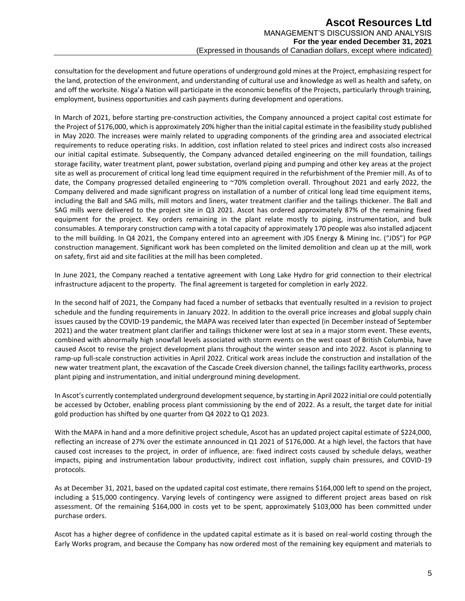consultation for the development and future operations of underground gold mines at the Project, emphasizing respect for the land, protection of the environment, and understanding of cultural use and knowledge as well as health and safety, on and off the worksite. Nisga'a Nation will participate in the economic benefits of the Projects, particularly through training, employment, business opportunities and cash payments during development and operations.

In March of 2021, before starting pre-construction activities, the Company announced a project capital cost estimate for the Project of \$176,000, which is approximately 20% higher than the initial capital estimate in the feasibility study published in May 2020. The increases were mainly related to upgrading components of the grinding area and associated electrical requirements to reduce operating risks. In addition, cost inflation related to steel prices and indirect costs also increased our initial capital estimate. Subsequently, the Company advanced detailed engineering on the mill foundation, tailings storage facility, water treatment plant, power substation, overland piping and pumping and other key areas at the project site as well as procurement of critical long lead time equipment required in the refurbishment of the Premier mill. As of to date, the Company progressed detailed engineering to ~70% completion overall. Throughout 2021 and early 2022, the Company delivered and made significant progress on installation of a number of critical long lead time equipment items, including the Ball and SAG mills, mill motors and liners, water treatment clarifier and the tailings thickener. The Ball and SAG mills were delivered to the project site in Q3 2021. Ascot has ordered approximately 87% of the remaining fixed equipment for the project. Key orders remaining in the plant relate mostly to piping, instrumentation, and bulk consumables. A temporary construction camp with a total capacity of approximately 170 people was also installed adjacent to the mill building. In Q4 2021, the Company entered into an agreement with JDS Energy & Mining Inc. ("JDS") for PGP construction management. Significant work has been completed on the limited demolition and clean up at the mill, work on safety, first aid and site facilities at the mill has been completed.

In June 2021, the Company reached a tentative agreement with Long Lake Hydro for grid connection to their electrical infrastructure adjacent to the property. The final agreement is targeted for completion in early 2022.

In the second half of 2021, the Company had faced a number of setbacks that eventually resulted in a revision to project schedule and the funding requirements in January 2022. In addition to the overall price increases and global supply chain issues caused by the COVID-19 pandemic, the MAPA was received later than expected (in December instead of September 2021) and the water treatment plant clarifier and tailings thickener were lost at sea in a major storm event. These events, combined with abnormally high snowfall levels associated with storm events on the west coast of British Columbia, have caused Ascot to revise the project development plans throughout the winter season and into 2022. Ascot is planning to ramp-up full-scale construction activities in April 2022. Critical work areas include the construction and installation of the new water treatment plant, the excavation of the Cascade Creek diversion channel, the tailings facility earthworks, process plant piping and instrumentation, and initial underground mining development.

In Ascot's currently contemplated underground development sequence, by starting in April 2022 initial ore could potentially be accessed by October, enabling process plant commissioning by the end of 2022. As a result, the target date for initial gold production has shifted by one quarter from Q4 2022 to Q1 2023.

With the MAPA in hand and a more definitive project schedule, Ascot has an updated project capital estimate of \$224,000, reflecting an increase of 27% over the estimate announced in Q1 2021 of \$176,000. At a high level, the factors that have caused cost increases to the project, in order of influence, are: fixed indirect costs caused by schedule delays, weather impacts, piping and instrumentation labour productivity, indirect cost inflation, supply chain pressures, and COVID-19 protocols.

As at December 31, 2021, based on the updated capital cost estimate, there remains \$164,000 left to spend on the project, including a \$15,000 contingency. Varying levels of contingency were assigned to different project areas based on risk assessment. Of the remaining \$164,000 in costs yet to be spent, approximately \$103,000 has been committed under purchase orders.

Ascot has a higher degree of confidence in the updated capital estimate as it is based on real-world costing through the Early Works program, and because the Company has now ordered most of the remaining key equipment and materials to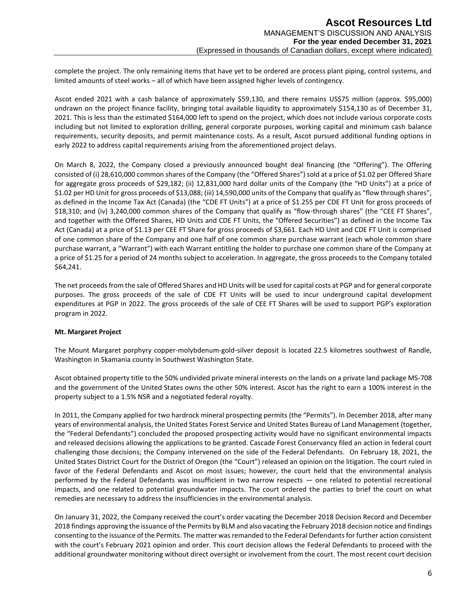complete the project. The only remaining items that have yet to be ordered are process plant piping, control systems, and limited amounts of steel works – all of which have been assigned higher levels of contingency.

Ascot ended 2021 with a cash balance of approximately \$59,130, and there remains US\$75 million (approx. \$95,000) undrawn on the project finance facility, bringing total available liquidity to approximately \$154,130 as of December 31, 2021. This is less than the estimated \$164,000 left to spend on the project, which does not include various corporate costs including but not limited to exploration drilling, general corporate purposes, working capital and minimum cash balance requirements, security deposits, and permit maintenance costs. As a result, Ascot pursued additional funding options in early 2022 to address capital requirements arising from the aforementioned project delays.

On March 8, 2022, the Company closed a previously announced bought deal financing (the "Offering"). The Offering consisted of (i) 28,610,000 common shares of the Company (the "Offered Shares") sold at a price of \$1.02 per Offered Share for aggregate gross proceeds of \$29,182; (ii) 12,831,000 hard dollar units of the Company (the "HD Units") at a price of \$1.02 per HD Unit for gross proceeds of \$13,088; (iii) 14,590,000 units of the Company that qualify as "flow through shares", as defined in the Income Tax Act (Canada) (the "CDE FT Units") at a price of \$1.255 per CDE FT Unit for gross proceeds of \$18,310; and (iv) 3,240,000 common shares of the Company that qualify as "flow-through shares" (the "CEE FT Shares", and together with the Offered Shares, HD Units and CDE FT Units, the "Offered Securities") as defined in the Income Tax Act (Canada) at a price of \$1.13 per CEE FT Share for gross proceeds of \$3,661. Each HD Unit and CDE FT Unit is comprised of one common share of the Company and one half of one common share purchase warrant (each whole common share purchase warrant, a "Warrant") with each Warrant entitling the holder to purchase one common share of the Company at a price of \$1.25 for a period of 24 months subject to acceleration. In aggregate, the gross proceeds to the Company totaled \$64,241.

The net proceeds from the sale of Offered Shares and HD Units will be used for capital costs at PGP and for general corporate purposes. The gross proceeds of the sale of CDE FT Units will be used to incur underground capital development expenditures at PGP in 2022. The gross proceeds of the sale of CEE FT Shares will be used to support PGP's exploration program in 2022.

## **Mt. Margaret Project**

The Mount Margaret porphyry copper-molybdenum-gold-silver deposit is located 22.5 kilometres southwest of Randle, Washington in Skamania county in Southwest Washington State.

Ascot obtained property title to the 50% undivided private mineral interests on the lands on a private land package MS-708 and the government of the United States owns the other 50% interest. Ascot has the right to earn a 100% interest in the property subject to a 1.5% NSR and a negotiated federal royalty.

In 2011, the Company applied for two hardrock mineral prospecting permits (the "Permits"). In December 2018, after many years of environmental analysis, the United States Forest Service and United States Bureau of Land Management (together, the "Federal Defendants") concluded the proposed prospecting activity would have no significant environmental impacts and released decisions allowing the applications to be granted. Cascade Forest Conservancy filed an action in federal court challenging those decisions; the Company intervened on the side of the Federal Defendants. On February 18, 2021, the United States District Court for the District of Oregon (the "Court") released an opinion on the litigation. The court ruled in favor of the Federal Defendants and Ascot on most issues; however, the court held that the environmental analysis performed by the Federal Defendants was insufficient in two narrow respects — one related to potential recreational impacts, and one related to potential groundwater impacts. The court ordered the parties to brief the court on what remedies are necessary to address the insufficiencies in the environmental analysis.

On January 31, 2022, the Company received the court's order vacating the December 2018 Decision Record and December 2018 findings approving the issuance of the Permits by BLM and also vacating the February 2018 decision notice and findings consenting to the issuance of the Permits. The matter was remanded to the Federal Defendants for further action consistent with the court's February 2021 opinion and order. This court decision allows the Federal Defendants to proceed with the additional groundwater monitoring without direct oversight or involvement from the court. The most recent court decision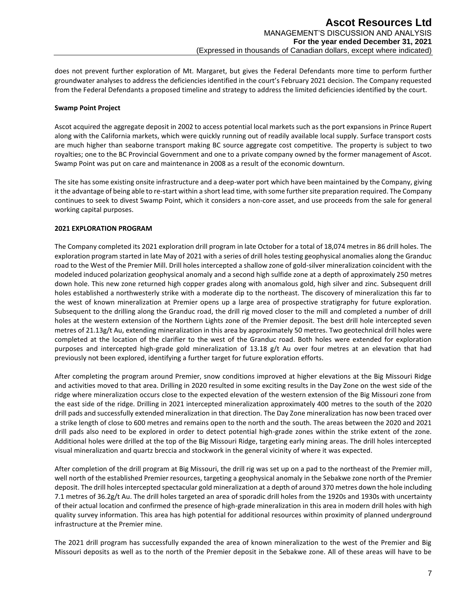does not prevent further exploration of Mt. Margaret, but gives the Federal Defendants more time to perform further groundwater analyses to address the deficiencies identified in the court's February 2021 decision. The Company requested from the Federal Defendants a proposed timeline and strategy to address the limited deficiencies identified by the court.

#### **Swamp Point Project**

Ascot acquired the aggregate deposit in 2002 to access potential local markets such as the port expansions in Prince Rupert along with the California markets, which were quickly running out of readily available local supply. Surface transport costs are much higher than seaborne transport making BC source aggregate cost competitive. The property is subject to two royalties; one to the BC Provincial Government and one to a private company owned by the former management of Ascot. Swamp Point was put on care and maintenance in 2008 as a result of the economic downturn.

The site has some existing onsite infrastructure and a deep-water port which have been maintained by the Company, giving it the advantage of being able to re-start within a short lead time, with some further site preparation required. The Company continues to seek to divest Swamp Point, which it considers a non-core asset, and use proceeds from the sale for general working capital purposes.

## **2021 EXPLORATION PROGRAM**

The Company completed its 2021 exploration drill program in late October for a total of 18,074 metres in 86 drill holes. The exploration program started in late May of 2021 with a series of drill holes testing geophysical anomalies along the Granduc road to the West of the Premier Mill. Drill holes intercepted a shallow zone of gold-silver mineralization coincident with the modeled induced polarization geophysical anomaly and a second high sulfide zone at a depth of approximately 250 metres down hole. This new zone returned high copper grades along with anomalous gold, high silver and zinc. Subsequent drill holes established a northwesterly strike with a moderate dip to the northeast. The discovery of mineralization this far to the west of known mineralization at Premier opens up a large area of prospective stratigraphy for future exploration. Subsequent to the drilling along the Granduc road, the drill rig moved closer to the mill and completed a number of drill holes at the western extension of the Northern Lights zone of the Premier deposit. The best drill hole intercepted seven metres of 21.13g/t Au, extending mineralization in this area by approximately 50 metres. Two geotechnical drill holes were completed at the location of the clarifier to the west of the Granduc road. Both holes were extended for exploration purposes and intercepted high-grade gold mineralization of 13.18 g/t Au over four metres at an elevation that had previously not been explored, identifying a further target for future exploration efforts.

After completing the program around Premier, snow conditions improved at higher elevations at the Big Missouri Ridge and activities moved to that area. Drilling in 2020 resulted in some exciting results in the Day Zone on the west side of the ridge where mineralization occurs close to the expected elevation of the western extension of the Big Missouri zone from the east side of the ridge. Drilling in 2021 intercepted mineralization approximately 400 metres to the south of the 2020 drill pads and successfully extended mineralization in that direction. The Day Zone mineralization has now been traced over a strike length of close to 600 metres and remains open to the north and the south. The areas between the 2020 and 2021 drill pads also need to be explored in order to detect potential high-grade zones within the strike extent of the zone. Additional holes were drilled at the top of the Big Missouri Ridge, targeting early mining areas. The drill holes intercepted visual mineralization and quartz breccia and stockwork in the general vicinity of where it was expected.

After completion of the drill program at Big Missouri, the drill rig was set up on a pad to the northeast of the Premier mill, well north of the established Premier resources, targeting a geophysical anomaly in the Sebakwe zone north of the Premier deposit. The drill holes intercepted spectacular gold mineralization at a depth of around 370 metres down the hole including 7.1 metres of 36.2g/t Au. The drill holes targeted an area of sporadic drill holes from the 1920s and 1930s with uncertainty of their actual location and confirmed the presence of high-grade mineralization in this area in modern drill holes with high quality survey information. This area has high potential for additional resources within proximity of planned underground infrastructure at the Premier mine.

The 2021 drill program has successfully expanded the area of known mineralization to the west of the Premier and Big Missouri deposits as well as to the north of the Premier deposit in the Sebakwe zone. All of these areas will have to be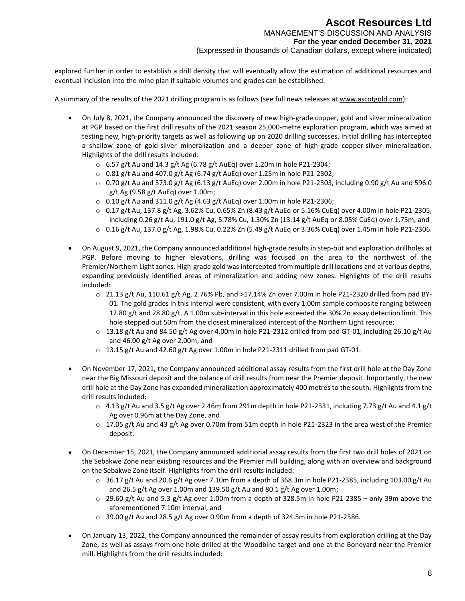explored further in order to establish a drill density that will eventually allow the estimation of additional resources and eventual inclusion into the mine plan if suitable volumes and grades can be established.

A summary of the results of the 2021 drilling program is as follows (see full news releases at [www.ascotgold.com\)](http://www.ascotgold.com/):

- On July 8, 2021, the Company announced the discovery of new high-grade copper, gold and silver mineralization at PGP based on the first drill results of the 2021 season 25,000-metre exploration program, which was aimed at testing new, high-priority targets as well as following up on 2020 drilling successes. Initial drilling has intercepted a shallow zone of gold-silver mineralization and a deeper zone of high-grade copper-silver mineralization. Highlights of the drill results included:
	- $\circ$  6.57 g/t Au and 14.3 g/t Ag (6.78 g/t AuEq) over 1.20m in hole P21-2304;
	- $\circ$  0.81 g/t Au and 407.0 g/t Ag (6.74 g/t AuEq) over 1.25m in hole P21-2302;
	- $\circ$  0.70 g/t Au and 373.0 g/t Ag (6.13 g/t AuEq) over 2.00m in hole P21-2303, including 0.90 g/t Au and 596.0 g/t Ag (9.58 g/t AuEq) over 1.00m;
	- $\circ$  0.10 g/t Au and 311.0 g/t Ag (4.63 g/t AuEq) over 1.00m in hole P21-2306;
	- $\circ$  0.17 g/t Au, 137.8 g/t Ag, 3.62% Cu, 0.65% Zn (8.43 g/t AuEq or 5.16% CuEq) over 4.00m in hole P21-2305, including 0.26 g/t Au, 191.0 g/t Ag, 5.78% Cu, 1.30% Zn (13.14 g/t AuEq or 8.05% CuEq) over 1.75m, and
	- $\circ$  0.16 g/t Au, 137.0 g/t Ag, 1.98% Cu, 0.22% Zn (5.49 g/t AuEq or 3.36% CuEq) over 1.45m in hole P21-2306.
- On August 9, 2021, the Company announced additional high-grade results in step-out and exploration drillholes at PGP. Before moving to higher elevations, drilling was focused on the area to the northwest of the Premier/Northern Light zones. High-grade gold was intercepted from multiple drill locations and at various depths, expanding previously identified areas of mineralization and adding new zones. Highlights of the drill results included:
	- $\circ$  21.13 g/t Au, 110.61 g/t Ag, 2.76% Pb, and >17.14% Zn over 7.00m in hole P21-2320 drilled from pad BY-01. The gold grades in this interval were consistent, with every 1.00m sample composite ranging between 12.80 g/t and 28.80 g/t. A 1.00m sub-interval in this hole exceeded the 30% Zn assay detection limit. This hole stepped out 50m from the closest mineralized intercept of the Northern Light resource;
	- $\circ$  13.18 g/t Au and 84.50 g/t Ag over 4.00m in hole P21-2312 drilled from pad GT-01, including 26.10 g/t Au and 46.00 g/t Ag over 2.00m, and
	- $\circ$  13.15 g/t Au and 42.60 g/t Ag over 1.00m in hole P21-2311 drilled from pad GT-01.
- On November 17, 2021, the Company announced additional assay results from the first drill hole at the Day Zone near the Big Missouri deposit and the balance of drill results from near the Premier deposit. Importantly, the new drill hole at the Day Zone has expanded mineralization approximately 400 metres to the south. Highlights from the drill results included:
	- $\circ$  4.13 g/t Au and 3.5 g/t Ag over 2.46m from 291m depth in hole P21-2331, including 7.73 g/t Au and 4.1 g/t Ag over 0.96m at the Day Zone, and
	- $\circ$  17.05 g/t Au and 43 g/t Ag over 0.70m from 51m depth in hole P21-2323 in the area west of the Premier deposit.
- On December 15, 2021, the Company announced additional assay results from the first two drill holes of 2021 on the Sebakwe Zone near existing resources and the Premier mill building, along with an overview and background on the Sebakwe Zone itself. Highlights from the drill results included:
	- $\circ$  36.17 g/t Au and 20.6 g/t Ag over 7.10m from a depth of 368.3m in hole P21-2385, including 103.00 g/t Au and 26.5 g/t Ag over 1.00m and 139.50 g/t Au and 80.1 g/t Ag over 1.00m;
	- $\circ$  29.60 g/t Au and 5.3 g/t Ag over 1.00m from a depth of 328.5m in hole P21-2385 only 39m above the aforementioned 7.10m interval, and
	- $\circ$  39.00 g/t Au and 28.5 g/t Ag over 0.90m from a depth of 324.5m in hole P21-2386.
- On January 13, 2022, the Company announced the remainder of assay results from exploration drilling at the Day Zone, as well as assays from one hole drilled at the Woodbine target and one at the Boneyard near the Premier mill. Highlights from the drill results included: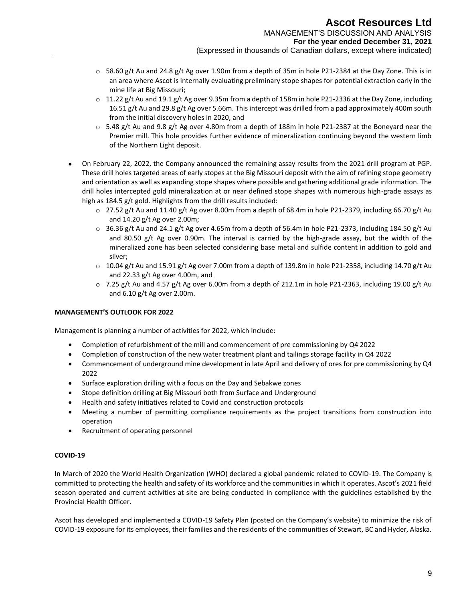- $\circ$  58.60 g/t Au and 24.8 g/t Ag over 1.90m from a depth of 35m in hole P21-2384 at the Day Zone. This is in an area where Ascot is internally evaluating preliminary stope shapes for potential extraction early in the mine life at Big Missouri;
- $\circ$  11.22 g/t Au and 19.1 g/t Ag over 9.35m from a depth of 158m in hole P21-2336 at the Day Zone, including 16.51 g/t Au and 29.8 g/t Ag over 5.66m. This intercept was drilled from a pad approximately 400m south from the initial discovery holes in 2020, and
- $\circ$  5.48 g/t Au and 9.8 g/t Ag over 4.80m from a depth of 188m in hole P21-2387 at the Boneyard near the Premier mill. This hole provides further evidence of mineralization continuing beyond the western limb of the Northern Light deposit.
- On February 22, 2022, the Company announced the remaining assay results from the 2021 drill program at PGP. These drill holes targeted areas of early stopes at the Big Missouri deposit with the aim of refining stope geometry and orientation as well as expanding stope shapes where possible and gathering additional grade information. The drill holes intercepted gold mineralization at or near defined stope shapes with numerous high-grade assays as high as 184.5 g/t gold. Highlights from the drill results included:
	- $\circ$  27.52 g/t Au and 11.40 g/t Ag over 8.00m from a depth of 68.4m in hole P21-2379, including 66.70 g/t Au and 14.20 g/t Ag over 2.00m;
	- $\circ$  36.36 g/t Au and 24.1 g/t Ag over 4.65m from a depth of 56.4m in hole P21-2373, including 184.50 g/t Au and 80.50 g/t Ag over 0.90m. The interval is carried by the high-grade assay, but the width of the mineralized zone has been selected considering base metal and sulfide content in addition to gold and silver;
	- $\circ$  10.04 g/t Au and 15.91 g/t Ag over 7.00m from a depth of 139.8m in hole P21-2358, including 14.70 g/t Au and 22.33 g/t Ag over 4.00m, and
	- $\circ$  7.25 g/t Au and 4.57 g/t Ag over 6.00m from a depth of 212.1m in hole P21-2363, including 19.00 g/t Au and 6.10 g/t Ag over 2.00m.

## **MANAGEMENT'S OUTLOOK FOR 2022**

Management is planning a number of activities for 2022, which include:

- Completion of refurbishment of the mill and commencement of pre commissioning by Q4 2022
- Completion of construction of the new water treatment plant and tailings storage facility in Q4 2022
- Commencement of underground mine development in late April and delivery of ores for pre commissioning by Q4 2022
- Surface exploration drilling with a focus on the Day and Sebakwe zones
- Stope definition drilling at Big Missouri both from Surface and Underground
- Health and safety initiatives related to Covid and construction protocols
- Meeting a number of permitting compliance requirements as the project transitions from construction into operation
- Recruitment of operating personnel

## **COVID-19**

In March of 2020 the World Health Organization (WHO) declared a global pandemic related to COVID-19. The Company is committed to protecting the health and safety of its workforce and the communities in which it operates. Ascot's 2021 field season operated and current activities at site are being conducted in compliance with the guidelines established by the Provincial Health Officer.

Ascot has developed and implemented a COVID-19 Safety Plan (posted on the Company's website) to minimize the risk of COVID-19 exposure for its employees, their families and the residents of the communities of Stewart, BC and Hyder, Alaska.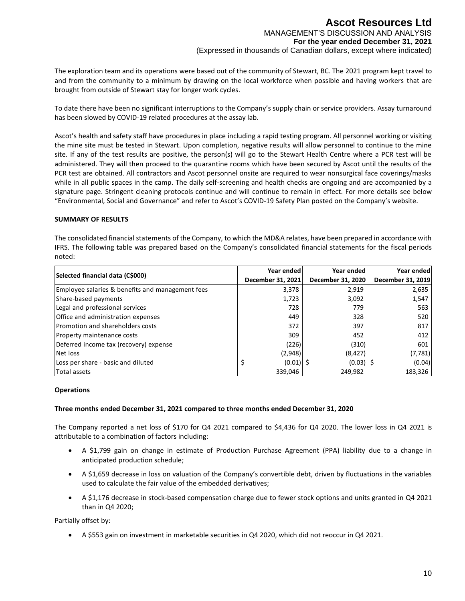The exploration team and its operations were based out of the community of Stewart, BC. The 2021 program kept travel to and from the community to a minimum by drawing on the local workforce when possible and having workers that are brought from outside of Stewart stay for longer work cycles.

To date there have been no significant interruptions to the Company's supply chain or service providers. Assay turnaround has been slowed by COVID-19 related procedures at the assay lab.

Ascot's health and safety staff have procedures in place including a rapid testing program. All personnel working or visiting the mine site must be tested in Stewart. Upon completion, negative results will allow personnel to continue to the mine site. If any of the test results are positive, the person(s) will go to the Stewart Health Centre where a PCR test will be administered. They will then proceed to the quarantine rooms which have been secured by Ascot until the results of the PCR test are obtained. All contractors and Ascot personnel onsite are required to wear nonsurgical face coverings/masks while in all public spaces in the camp. The daily self-screening and health checks are ongoing and are accompanied by a signature page. Stringent cleaning protocols continue and will continue to remain in effect. For more details see below "Environmental, Social and Governance" and refer to Ascot's COVID-19 Safety Plan posted on the Company's website.

## **SUMMARY OF RESULTS**

The consolidated financial statements of the Company, to which the MD&A relates, have been prepared in accordance with IFRS. The following table was prepared based on the Company's consolidated financial statements for the fiscal periods noted:

|                                                  | Year ended        | Year ended        | Year ended        |
|--------------------------------------------------|-------------------|-------------------|-------------------|
| Selected financial data (C\$000)                 | December 31, 2021 | December 31, 2020 | December 31, 2019 |
| Employee salaries & benefits and management fees | 3,378             | 2,919             | 2,635             |
| Share-based payments                             | 1,723             | 3,092             | 1,547             |
| Legal and professional services                  | 728               | 779               | 563               |
| Office and administration expenses               | 449               | 328               | 520               |
| <b>Promotion and shareholders costs</b>          | 372               | 397               | 817               |
| Property maintenance costs                       | 309               | 452               | 412               |
| Deferred income tax (recovery) expense           | (226)             | (310)             | 601               |
| Net loss                                         | (2,948)           | (8, 427)          | (7, 781)          |
| Loss per share - basic and diluted               | $(0.01)$ \$<br>S  | $(0.03)$   \$     | (0.04)            |
| Total assets                                     | 339.046           | 249.982           | 183,326           |

#### **Operations**

#### **Three months ended December 31, 2021 compared to three months ended December 31, 2020**

The Company reported a net loss of \$170 for Q4 2021 compared to \$4,436 for Q4 2020. The lower loss in Q4 2021 is attributable to a combination of factors including:

- A \$1,799 gain on change in estimate of Production Purchase Agreement (PPA) liability due to a change in anticipated production schedule;
- A \$1,659 decrease in loss on valuation of the Company's convertible debt, driven by fluctuations in the variables used to calculate the fair value of the embedded derivatives;
- A \$1,176 decrease in stock-based compensation charge due to fewer stock options and units granted in Q4 2021 than in Q4 2020;

Partially offset by:

• A \$553 gain on investment in marketable securities in Q4 2020, which did not reoccur in Q4 2021.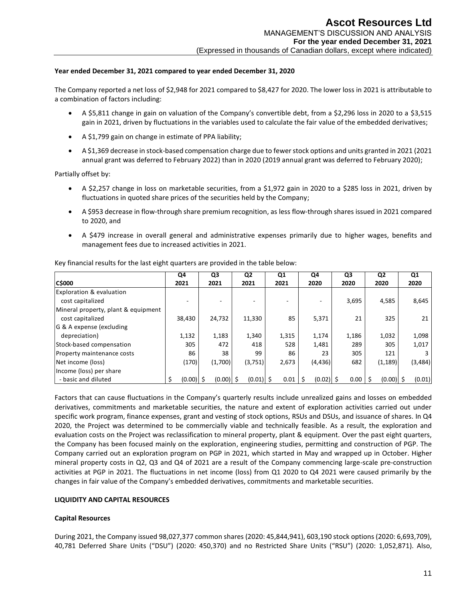## **Year ended December 31, 2021 compared to year ended December 31, 2020**

The Company reported a net loss of \$2,948 for 2021 compared to \$8,427 for 2020. The lower loss in 2021 is attributable to a combination of factors including:

- A \$5,811 change in gain on valuation of the Company's convertible debt, from a \$2,296 loss in 2020 to a \$3,515 gain in 2021, driven by fluctuations in the variables used to calculate the fair value of the embedded derivatives;
- A \$1,799 gain on change in estimate of PPA liability;
- A \$1,369 decrease in stock-based compensation charge due to fewer stock options and units granted in 2021 (2021 annual grant was deferred to February 2022) than in 2020 (2019 annual grant was deferred to February 2020);

Partially offset by:

- A \$2,257 change in loss on marketable securities, from a \$1,972 gain in 2020 to a \$285 loss in 2021, driven by fluctuations in quoted share prices of the securities held by the Company;
- A \$953 decrease in flow-through share premium recognition, as less flow-through shares issued in 2021 compared to 2020, and
- A \$479 increase in overall general and administrative expenses primarily due to higher wages, benefits and management fees due to increased activities in 2021.

|                                     | Q4          | Q3          | Q2          | Q1    | Q4          | Q3    | Q2          | Q1       |
|-------------------------------------|-------------|-------------|-------------|-------|-------------|-------|-------------|----------|
| <b>C\$000</b>                       | 2021        | 2021        | 2021        | 2021  | 2020        | 2020  | 2020        | 2020     |
| Exploration & evaluation            |             |             |             |       |             |       |             |          |
| cost capitalized                    |             |             |             |       |             | 3,695 | 4,585       | 8,645    |
| Mineral property, plant & equipment |             |             |             |       |             |       |             |          |
| cost capitalized                    | 38,430      | 24,732      | 11,330      | 85    | 5,371       | 21    | 325         | 21       |
| G & A expense (excluding            |             |             |             |       |             |       |             |          |
| depreciation)                       | 1,132       | 1,183       | 1,340       | 1,315 | 1,174       | 1,186 | 1,032       | 1,098    |
| Stock-based compensation            | 305         | 472         | 418         | 528   | 1,481       | 289   | 305         | 1,017    |
| Property maintenance costs          | 86          | 38          | 99          | 86    | 23          | 305   | 121         |          |
| Net income (loss)                   | (170)       | (1,700)     | (3,751)     | 2,673 | (4, 436)    | 682   | (1, 189)    | (3, 484) |
| Income (loss) per share             |             |             |             |       |             |       |             |          |
| - basic and diluted                 | $(0.00)$ \$ | $(0.00)$ \$ | $(0.01)$ \$ | 0.01  | $(0.02)$ \$ | 0.00  | $(0.00)$ \$ | (0.01)   |

Key financial results for the last eight quarters are provided in the table below:

Factors that can cause fluctuations in the Company's quarterly results include unrealized gains and losses on embedded derivatives, commitments and marketable securities, the nature and extent of exploration activities carried out under specific work program, finance expenses, grant and vesting of stock options, RSUs and DSUs, and issuance of shares. In Q4 2020, the Project was determined to be commercially viable and technically feasible. As a result, the exploration and evaluation costs on the Project was reclassification to mineral property, plant & equipment. Over the past eight quarters, the Company has been focused mainly on the exploration, engineering studies, permitting and construction of PGP. The Company carried out an exploration program on PGP in 2021, which started in May and wrapped up in October. Higher mineral property costs in Q2, Q3 and Q4 of 2021 are a result of the Company commencing large-scale pre-construction activities at PGP in 2021. The fluctuations in net income (loss) from Q1 2020 to Q4 2021 were caused primarily by the changes in fair value of the Company's embedded derivatives, commitments and marketable securities.

## **LIQUIDITY AND CAPITAL RESOURCES**

#### **Capital Resources**

During 2021, the Company issued 98,027,377 common shares (2020: 45,844,941), 603,190 stock options (2020: 6,693,709), 40,781 Deferred Share Units ("DSU") (2020: 450,370) and no Restricted Share Units ("RSU") (2020: 1,052,871). Also,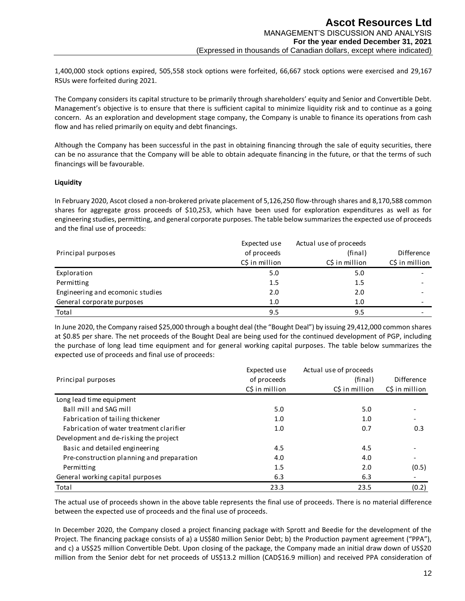1,400,000 stock options expired, 505,558 stock options were forfeited, 66,667 stock options were exercised and 29,167 RSUs were forfeited during 2021.

The Company considers its capital structure to be primarily through shareholders' equity and Senior and Convertible Debt. Management's objective is to ensure that there is sufficient capital to minimize liquidity risk and to continue as a going concern. As an exploration and development stage company, the Company is unable to finance its operations from cash flow and has relied primarily on equity and debt financings.

Although the Company has been successful in the past in obtaining financing through the sale of equity securities, there can be no assurance that the Company will be able to obtain adequate financing in the future, or that the terms of such financings will be favourable.

## **Liquidity**

In February 2020, Ascot closed a non-brokered private placement of 5,126,250 flow-through shares and 8,170,588 common shares for aggregate gross proceeds of \$10,253, which have been used for exploration expenditures as well as for engineering studies, permitting, and general corporate purposes. The table below summarizes the expected use of proceeds and the final use of proceeds:

| Principal purposes               | Expected use<br>of proceeds<br>C\$ in million | Actual use of proceeds<br>(final)<br>C\$ in million | Difference<br>C\$ in million |
|----------------------------------|-----------------------------------------------|-----------------------------------------------------|------------------------------|
| Exploration                      | 5.0                                           | 5.0                                                 |                              |
| Permitting                       | 1.5                                           | 1.5                                                 |                              |
| Engineering and ecomonic studies | 2.0                                           | 2.0                                                 |                              |
| General corporate purposes       | 1.0                                           | 1.0                                                 |                              |
| Total                            | 9.5                                           | 9.5                                                 |                              |

| Principal purposes                                                                                                                                                                                                                                                                                                                                                                                                                                                                                                                                                                                                                                                                                      | of proceeds    | (final)                | Difference     |
|---------------------------------------------------------------------------------------------------------------------------------------------------------------------------------------------------------------------------------------------------------------------------------------------------------------------------------------------------------------------------------------------------------------------------------------------------------------------------------------------------------------------------------------------------------------------------------------------------------------------------------------------------------------------------------------------------------|----------------|------------------------|----------------|
|                                                                                                                                                                                                                                                                                                                                                                                                                                                                                                                                                                                                                                                                                                         | C\$ in million | C\$ in million         | C\$ in million |
| Exploration                                                                                                                                                                                                                                                                                                                                                                                                                                                                                                                                                                                                                                                                                             | 5.0            | 5.0                    |                |
| Permitting                                                                                                                                                                                                                                                                                                                                                                                                                                                                                                                                                                                                                                                                                              | 1.5            | 1.5                    |                |
| Engineering and ecomonic studies                                                                                                                                                                                                                                                                                                                                                                                                                                                                                                                                                                                                                                                                        | 2.0            | 2.0                    |                |
| General corporate purposes                                                                                                                                                                                                                                                                                                                                                                                                                                                                                                                                                                                                                                                                              | 1.0            | 1.0                    |                |
| Total                                                                                                                                                                                                                                                                                                                                                                                                                                                                                                                                                                                                                                                                                                   | 9.5            | 9.5                    |                |
| In June 2020, the Company raised \$25,000 through a bought deal (the "Bought Deal") by issuing 29,412,000 common shares<br>at \$0.85 per share. The net proceeds of the Bought Deal are being used for the continued development of PGP, including<br>the purchase of long lead time equipment and for general working capital purposes. The table below summarizes the<br>expected use of proceeds and final use of proceeds:                                                                                                                                                                                                                                                                          |                |                        |                |
|                                                                                                                                                                                                                                                                                                                                                                                                                                                                                                                                                                                                                                                                                                         | Expected use   | Actual use of proceeds |                |
| Principal purposes                                                                                                                                                                                                                                                                                                                                                                                                                                                                                                                                                                                                                                                                                      | of proceeds    | (final)                | Difference     |
|                                                                                                                                                                                                                                                                                                                                                                                                                                                                                                                                                                                                                                                                                                         | C\$ in million | C\$ in million         | C\$ in million |
| Long lead time equipment                                                                                                                                                                                                                                                                                                                                                                                                                                                                                                                                                                                                                                                                                |                |                        |                |
| Ball mill and SAG mill                                                                                                                                                                                                                                                                                                                                                                                                                                                                                                                                                                                                                                                                                  | 5.0            | 5.0                    |                |
| Fabrication of tailing thickener                                                                                                                                                                                                                                                                                                                                                                                                                                                                                                                                                                                                                                                                        | 1.0            | 1.0                    |                |
| Fabrication of water treatment clarifier                                                                                                                                                                                                                                                                                                                                                                                                                                                                                                                                                                                                                                                                | 1.0            | 0.7                    | 0.3            |
| Development and de-risking the project                                                                                                                                                                                                                                                                                                                                                                                                                                                                                                                                                                                                                                                                  |                |                        |                |
| Basic and detailed engineering                                                                                                                                                                                                                                                                                                                                                                                                                                                                                                                                                                                                                                                                          | 4.5            | 4.5                    |                |
| Pre-construction planning and preparation                                                                                                                                                                                                                                                                                                                                                                                                                                                                                                                                                                                                                                                               | 4.0            | 4.0                    |                |
| Permitting                                                                                                                                                                                                                                                                                                                                                                                                                                                                                                                                                                                                                                                                                              | 1.5            | 2.0                    | (0.5)          |
| General working capital purposes                                                                                                                                                                                                                                                                                                                                                                                                                                                                                                                                                                                                                                                                        | 6.3            | 6.3                    |                |
| Total                                                                                                                                                                                                                                                                                                                                                                                                                                                                                                                                                                                                                                                                                                   | 23.3           | 23.5                   | (0.2)          |
| The actual use of proceeds shown in the above table represents the final use of proceeds. There is no material difference<br>between the expected use of proceeds and the final use of proceeds.<br>In December 2020, the Company closed a project financing package with Sprott and Beedie for the development of the<br>Project. The financing package consists of a) a US\$80 million Senior Debt; b) the Production payment agreement ("PPA"),<br>and c) a US\$25 million Convertible Debt. Upon closing of the package, the Company made an initial draw down of US\$20<br>million from the Senior debt for net proceeds of US\$13.2 million (CAD\$16.9 million) and received PPA consideration of |                |                        |                |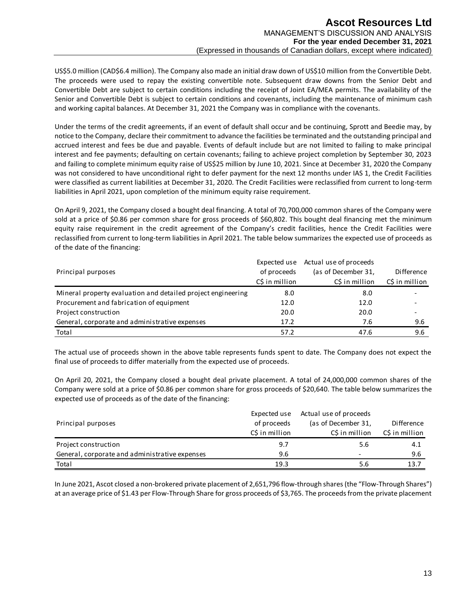US\$5.0 million (CAD\$6.4 million). The Company also made an initial draw down of US\$10 million from the Convertible Debt. The proceeds were used to repay the existing convertible note. Subsequent draw downs from the Senior Debt and Convertible Debt are subject to certain conditions including the receipt of Joint EA/MEA permits. The availability of the Senior and Convertible Debt is subject to certain conditions and covenants, including the maintenance of minimum cash and working capital balances. At December 31, 2021 the Company was in compliance with the covenants.

Under the terms of the credit agreements, if an event of default shall occur and be continuing, Sprott and Beedie may, by notice to the Company, declare their commitment to advance the facilities be terminated and the outstanding principal and accrued interest and fees be due and payable. Events of default include but are not limited to failing to make principal interest and fee payments; defaulting on certain covenants; failing to achieve project completion by September 30, 2023 and failing to complete minimum equity raise of US\$25 million by June 10, 2021. Since at December 31, 2020 the Company was not considered to have unconditional right to defer payment for the next 12 months under IAS 1, the Credit Facilities were classified as current liabilities at December 31, 2020. The Credit Facilities were reclassified from current to long-term liabilities in April 2021, upon completion of the minimum equity raise requirement.

On April 9, 2021, the Company closed a bought deal financing. A total of 70,700,000 common shares of the Company were sold at a price of \$0.86 per common share for gross proceeds of \$60,802. This bought deal financing met the minimum equity raise requirement in the credit agreement of the Company's credit facilities, hence the Credit Facilities were reclassified from current to long-term liabilities in April 2021. The table below summarizes the expected use of proceeds as of the date of the financing:

| Principal purposes                                           | Expected use<br>of proceeds<br>C\$ in million | Actual use of proceeds<br>(as of December 31,<br>C\$ in million | Difference<br>C\$ in million |
|--------------------------------------------------------------|-----------------------------------------------|-----------------------------------------------------------------|------------------------------|
| Mineral property evaluation and detailed project engineering | 8.0                                           | 8.0                                                             |                              |
| Procurement and fabrication of equipment                     | 12.0                                          | 12.0                                                            |                              |
| Project construction                                         | 20.0                                          | 20.0                                                            |                              |
| General, corporate and administrative expenses               | 17.2                                          | 7.6                                                             | 9.6                          |
| Total                                                        | 57.2                                          | 47.6                                                            | 9.6                          |

The actual use of proceeds shown in the above table represents funds spent to date. The Company does not expect the final use of proceeds to differ materially from the expected use of proceeds.

On April 20, 2021, the Company closed a bought deal private placement. A total of 24,000,000 common shares of the Company were sold at a price of \$0.86 per common share for gross proceeds of \$20,640. The table below summarizes the expected use of proceeds as of the date of the financing:

| Principal purposes                             | Expected use<br>of proceeds<br>C\$ in million | Actual use of proceeds<br>(as of December 31,<br>C\$ in million | Difference<br>C\$ in million |
|------------------------------------------------|-----------------------------------------------|-----------------------------------------------------------------|------------------------------|
| Project construction                           | 9.7                                           | 5.6                                                             | 4.1                          |
| General, corporate and administrative expenses | 9.6                                           | -                                                               | 9.6                          |
| Total                                          | 19.3                                          | 5.6                                                             | 13.7                         |

In June 2021, Ascot closed a non-brokered private placement of 2,651,796 flow-through shares (the "Flow-Through Shares") at an average price of \$1.43 per Flow-Through Share for gross proceeds of \$3,765. The proceeds from the private placement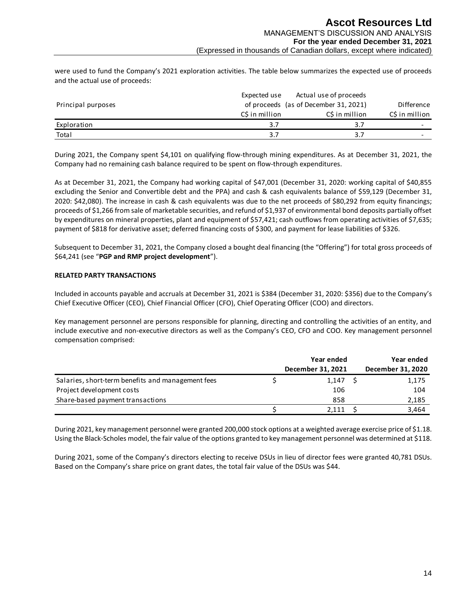were used to fund the Company's 2021 exploration activities. The table below summarizes the expected use of proceeds and the actual use of proceeds:

|                    | Expected use  | Actual use of proceeds                |                |
|--------------------|---------------|---------------------------------------|----------------|
| Principal purposes |               | of proceeds (as of December 31, 2021) | Difference     |
|                    | CS in million | CS in million                         | C\$ in million |
| Exploration        |               | 3.                                    |                |
| Total              | 3.7           | 3.7                                   |                |

During 2021, the Company spent \$4,101 on qualifying flow-through mining expenditures. As at December 31, 2021, the Company had no remaining cash balance required to be spent on flow-through expenditures.

As at December 31, 2021, the Company had working capital of \$47,001 (December 31, 2020: working capital of \$40,855 excluding the Senior and Convertible debt and the PPA) and cash & cash equivalents balance of \$59,129 (December 31, 2020: \$42,080). The increase in cash & cash equivalents was due to the net proceeds of \$80,292 from equity financings; proceeds of \$1,266 from sale of marketable securities, and refund of \$1,937 of environmental bond deposits partially offset by expenditures on mineral properties, plant and equipment of \$57,421; cash outflows from operating activities of \$7,635; payment of \$818 for derivative asset; deferred financing costs of \$300, and payment for lease liabilities of \$326.

Subsequent to December 31, 2021, the Company closed a bought deal financing (the "Offering") for total gross proceeds of \$64,241 (see "**PGP and RMP project development**").

## **RELATED PARTY TRANSACTIONS**

Included in accounts payable and accruals at December 31, 2021 is \$384 (December 31, 2020: \$356) due to the Company's Chief Executive Officer (CEO), Chief Financial Officer (CFO), Chief Operating Officer (COO) and directors.

Key management personnel are persons responsible for planning, directing and controlling the activities of an entity, and include executive and non-executive directors as well as the Company's CEO, CFO and COO. Key management personnel compensation comprised:

|                                                   | Year ended        |  | Year ended        |
|---------------------------------------------------|-------------------|--|-------------------|
|                                                   | December 31, 2021 |  | December 31, 2020 |
| Salaries, short-term benefits and management fees | 1,147             |  | 1,175             |
| Project development costs                         | 106               |  | 104               |
| Share-based payment transactions                  | 858               |  | 2,185             |
|                                                   | 2.111             |  | 3.464             |

During 2021, key management personnel were granted 200,000 stock options at a weighted average exercise price of \$1.18. Using the Black-Scholes model, the fair value of the options granted to key management personnel was determined at \$118.

During 2021, some of the Company's directors electing to receive DSUs in lieu of director fees were granted 40,781 DSUs. Based on the Company's share price on grant dates, the total fair value of the DSUs was \$44.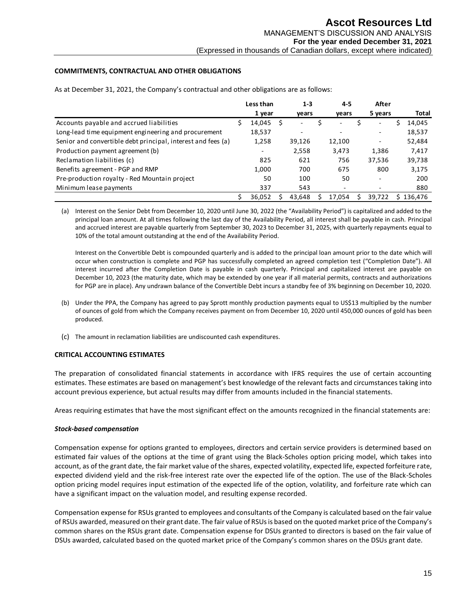## **COMMITMENTS, CONTRACTUAL AND OTHER OBLIGATIONS**

|                                                              | Less than | $1 - 3$                  | $4 - 5$                  | After   |    |         |
|--------------------------------------------------------------|-----------|--------------------------|--------------------------|---------|----|---------|
|                                                              | 1 year    | vears                    | vears                    | 5 years |    | Total   |
| Accounts payable and accrued liabilities                     | 14,045    | $\overline{\phantom{0}}$ |                          |         |    | 14,045  |
| Long-lead time equipment engineering and procurement         | 18,537    |                          | $\overline{\phantom{a}}$ |         |    | 18,537  |
| Senior and convertible debt principal, interest and fees (a) | 1,258     | 39,126                   | 12,100                   |         |    | 52,484  |
| Production payment agreement (b)                             |           | 2,558                    | 3,473                    | 1,386   |    | 7,417   |
| Reclamation liabilities (c)                                  | 825       | 621                      | 756                      | 37,536  |    | 39,738  |
| Benefits agreement - PGP and RMP                             | 1,000     | 700                      | 675                      | 800     |    | 3,175   |
| Pre-production royalty - Red Mountain project                | 50        | 100                      | 50                       |         |    | 200     |
| Minimum lease payments                                       | 337       | 543                      |                          |         |    | 880     |
|                                                              | 36.052    | 43.648                   | 17.054                   | 39.722  | S. | 136.476 |

As at December 31, 2021, the Company's contractual and other obligations are as follows:

(a) Interest on the Senior Debt from December 10, 2020 until June 30, 2022 (the "Availability Period") is capitalized and added to the principal loan amount. At all times following the last day of the Availability Period, all interest shall be payable in cash. Principal and accrued interest are payable quarterly from September 30, 2023 to December 31, 2025, with quarterly repayments equal to 10% of the total amount outstanding at the end of the Availability Period.

Interest on the Convertible Debt is compounded quarterly and is added to the principal loan amount prior to the date which will occur when construction is complete and PGP has successfully completed an agreed completion test ("Completion Date"). All interest incurred after the Completion Date is payable in cash quarterly. Principal and capitalized interest are payable on December 10, 2023 (the maturity date, which may be extended by one year if all material permits, contracts and authorizations for PGP are in place). Any undrawn balance of the Convertible Debt incurs a standby fee of 3% beginning on December 10, 2020.

- (b) Under the PPA, the Company has agreed to pay Sprott monthly production payments equal to US\$13 multiplied by the number of ounces of gold from which the Company receives payment on from December 10, 2020 until 450,000 ounces of gold has been produced.
- (c) The amount in reclamation liabilities are undiscounted cash expenditures.

#### **CRITICAL ACCOUNTING ESTIMATES**

The preparation of consolidated financial statements in accordance with IFRS requires the use of certain accounting estimates. These estimates are based on management's best knowledge of the relevant facts and circumstances taking into account previous experience, but actual results may differ from amounts included in the financial statements.

Areas requiring estimates that have the most significant effect on the amounts recognized in the financial statements are:

#### *Stock-based compensation*

Compensation expense for options granted to employees, directors and certain service providers is determined based on estimated fair values of the options at the time of grant using the Black-Scholes option pricing model, which takes into account, as of the grant date, the fair market value of the shares, expected volatility, expected life, expected forfeiture rate, expected dividend yield and the risk-free interest rate over the expected life of the option. The use of the Black-Scholes option pricing model requires input estimation of the expected life of the option, volatility, and forfeiture rate which can have a significant impact on the valuation model, and resulting expense recorded.

Compensation expense for RSUs granted to employees and consultants of the Company is calculated based on the fair value of RSUs awarded, measured on their grant date. The fair value of RSUs is based on the quoted market price of the Company's common shares on the RSUs grant date. Compensation expense for DSUs granted to directors is based on the fair value of DSUs awarded, calculated based on the quoted market price of the Company's common shares on the DSUs grant date.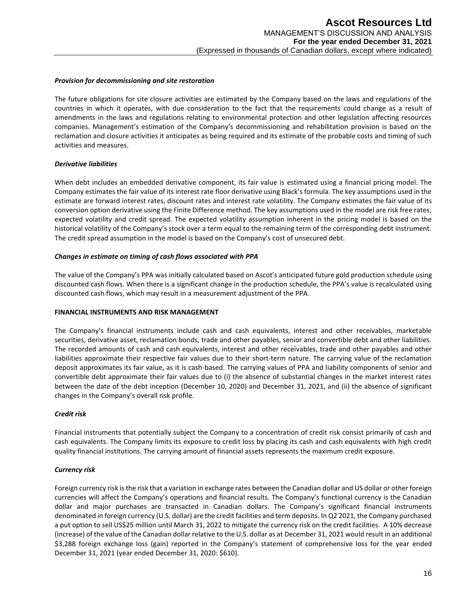#### *Provision for decommissioning and site restoration*

The future obligations for site closure activities are estimated by the Company based on the laws and regulations of the countries in which it operates, with due consideration to the fact that the requirements could change as a result of amendments in the laws and regulations relating to environmental protection and other legislation affecting resources companies. Management's estimation of the Company's decommissioning and rehabilitation provision is based on the reclamation and closure activities it anticipates as being required and its estimate of the probable costs and timing of such activities and measures.

## *Derivative liabilities*

When debt includes an embedded derivative component, its fair value is estimated using a financial pricing model. The Company estimates the fair value of its interest rate floor derivative using Black's formula. The key assumptions used in the estimate are forward interest rates, discount rates and interest rate volatility. The Company estimates the fair value of its conversion option derivative using the Finite Difference method. The key assumptions used in the model are risk free rates, expected volatility and credit spread. The expected volatility assumption inherent in the pricing model is based on the historical volatility of the Company's stock over a term equal to the remaining term of the corresponding debt instrument. The credit spread assumption in the model is based on the Company's cost of unsecured debt.

## *Changes in estimate on timing of cash flows associated with PPA*

The value of the Company's PPA was initially calculated based on Ascot's anticipated future gold production schedule using discounted cash flows. When there is a significant change in the production schedule, the PPA's value is recalculated using discounted cash flows, which may result in a measurement adjustment of the PPA.

#### **FINANCIAL INSTRUMENTS AND RISK MANAGEMENT**

The Company's financial instruments include cash and cash equivalents, interest and other receivables, marketable securities, derivative asset, reclamation bonds, trade and other payables, senior and convertible debt and other liabilities. The recorded amounts of cash and cash equivalents, interest and other receivables, trade and other payables and other liabilities approximate their respective fair values due to their short-term nature. The carrying value of the reclamation deposit approximates its fair value, as it is cash-based. The carrying values of PPA and liability components of senior and convertible debt approximate their fair values due to (i) the absence of substantial changes in the market interest rates between the date of the debt inception (December 10, 2020) and December 31, 2021, and (ii) the absence of significant changes in the Company's overall risk profile.

#### *Credit risk*

Financial instruments that potentially subject the Company to a concentration of credit risk consist primarily of cash and cash equivalents. The Company limits its exposure to credit loss by placing its cash and cash equivalents with high credit quality financial institutions. The carrying amount of financial assets represents the maximum credit exposure.

## *Currency risk*

Foreign currency risk is the risk that a variation in exchange rates between the Canadian dollar and US dollar or other foreign currencies will affect the Company's operations and financial results. The Company's functional currency is the Canadian dollar and major purchases are transacted in Canadian dollars. The Company's significant financial instruments denominated in foreign currency (U.S. dollar) are the credit facilities and term deposits. In Q2 2021, the Company purchased a put option to sell US\$25 million until March 31, 2022 to mitigate the currency risk on the credit facilities. A 10% decrease (increase) of the value of the Canadian dollar relative to the U.S. dollar as at December 31, 2021 would result in an additional \$3,288 foreign exchange loss (gain) reported in the Company's statement of comprehensive loss for the year ended December 31, 2021 (year ended December 31, 2020: \$610).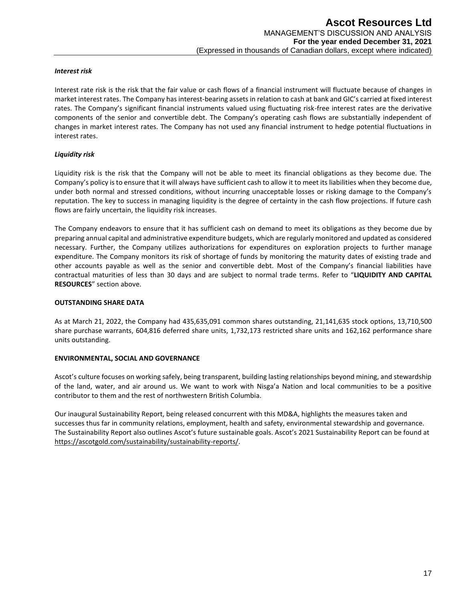## *Interest risk*

Interest rate risk is the risk that the fair value or cash flows of a financial instrument will fluctuate because of changes in market interest rates. The Company has interest-bearing assets in relation to cash at bank and GIC's carried at fixed interest rates. The Company's significant financial instruments valued using fluctuating risk-free interest rates are the derivative components of the senior and convertible debt. The Company's operating cash flows are substantially independent of changes in market interest rates. The Company has not used any financial instrument to hedge potential fluctuations in interest rates.

## *Liquidity risk*

Liquidity risk is the risk that the Company will not be able to meet its financial obligations as they become due. The Company's policy is to ensure that it will always have sufficient cash to allow it to meet its liabilities when they become due, under both normal and stressed conditions, without incurring unacceptable losses or risking damage to the Company's reputation. The key to success in managing liquidity is the degree of certainty in the cash flow projections. If future cash flows are fairly uncertain, the liquidity risk increases.

The Company endeavors to ensure that it has sufficient cash on demand to meet its obligations as they become due by preparing annual capital and administrative expenditure budgets, which are regularly monitored and updated as considered necessary. Further, the Company utilizes authorizations for expenditures on exploration projects to further manage expenditure. The Company monitors its risk of shortage of funds by monitoring the maturity dates of existing trade and other accounts payable as well as the senior and convertible debt. Most of the Company's financial liabilities have contractual maturities of less than 30 days and are subject to normal trade terms. Refer to "**LIQUIDITY AND CAPITAL RESOURCES**" section above.

#### **OUTSTANDING SHARE DATA**

As at March 21, 2022, the Company had 435,635,091 common shares outstanding, 21,141,635 stock options, 13,710,500 share purchase warrants, 604,816 deferred share units, 1,732,173 restricted share units and 162,162 performance share units outstanding.

#### **ENVIRONMENTAL, SOCIAL AND GOVERNANCE**

Ascot's culture focuses on working safely, being transparent, building lasting relationships beyond mining, and stewardship of the land, water, and air around us. We want to work with Nisga'a Nation and local communities to be a positive contributor to them and the rest of northwestern British Columbia.

Our inaugural Sustainability Report, being released concurrent with this MD&A, highlights the measures taken and successes thus far in community relations, employment, health and safety, environmental stewardship and governance. The Sustainability Report also outlines Ascot's future sustainable goals. Ascot's 2021 Sustainability Report can be found at [https://ascotgold.com/sustainability/sustainability-reports/.](https://ascotgold.com/sustainability/sustainability-reports/)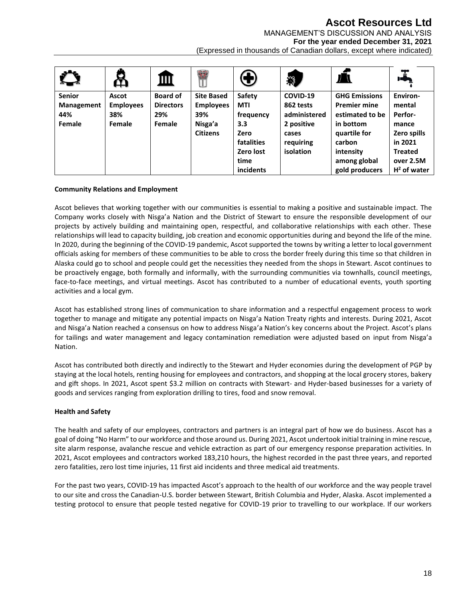## **Ascot Resources Ltd**

MANAGEMENT'S DISCUSSION AND ANALYSIS

**For the year ended December 31, 2021**

(Expressed in thousands of Canadian dollars, except where indicated)

|               | T.               | Ш                | <b>BR</b>         | $\bigoplus$ |              |                      | 工              |
|---------------|------------------|------------------|-------------------|-------------|--------------|----------------------|----------------|
| <b>Senior</b> | <b>Ascot</b>     | <b>Board of</b>  | <b>Site Based</b> | Safety      | COVID-19     | <b>GHG Emissions</b> | Environ-       |
| Management    | <b>Employees</b> | <b>Directors</b> | <b>Employees</b>  | <b>MTI</b>  | 862 tests    | <b>Premier mine</b>  | mental         |
| 44%           | 38%              | 29%              | 39%               | frequency   | administered | estimated to be      | Perfor-        |
| Female        | Female           | Female           | Nisga'a           | 3.3         | 2 positive   | in bottom            | mance          |
|               |                  |                  | <b>Citizens</b>   | Zero        | cases        | quartile for         | Zero spills    |
|               |                  |                  |                   | fatalities  | requiring    | carbon               | in 2021        |
|               |                  |                  |                   | Zero lost   | isolation    | intensity            | <b>Treated</b> |
|               |                  |                  |                   | time        |              | among global         | over 2.5M      |
|               |                  |                  |                   | incidents   |              | gold producers       | $H2$ of water  |

## **Community Relations and Employment**

Ascot believes that working together with our communities is essential to making a positive and sustainable impact. The Company works closely with Nisg̱a'a Nation and the District of Stewart to ensure the responsible development of our projects by actively building and maintaining open, respectful, and collaborative relationships with each other. These relationships will lead to capacity building, job creation and economic opportunities during and beyond the life of the mine. In 2020, during the beginning of the COVID-19 pandemic, Ascot supported the towns by writing a letter to local government officials asking for members of these communities to be able to cross the border freely during this time so that children in Alaska could go to school and people could get the necessities they needed from the shops in Stewart. Ascot continues to be proactively engage, both formally and informally, with the surrounding communities via townhalls, council meetings, face-to-face meetings, and virtual meetings. Ascot has contributed to a number of educational events, youth sporting activities and a local gym.

Ascot has established strong lines of communication to share information and a respectful engagement process to work together to manage and mitigate any potential impacts on Nisga'a Nation Treaty rights and interests. During 2021, Ascot and Nisga'a Nation reached a consensus on how to address Nisga'a Nation's key concerns about the Project. Ascot's plans for tailings and water management and legacy contamination remediation were adjusted based on input from Nisga'a Nation.

Ascot has contributed both directly and indirectly to the Stewart and Hyder economies during the development of PGP by staying at the local hotels, renting housing for employees and contractors, and shopping at the local grocery stores, bakery and gift shops. In 2021, Ascot spent \$3.2 million on contracts with Stewart- and Hyder-based businesses for a variety of goods and services ranging from exploration drilling to tires, food and snow removal.

## **Health and Safety**

The health and safety of our employees, contractors and partners is an integral part of how we do business. Ascot has a goal of doing "No Harm" to our workforce and those around us. During 2021, Ascot undertook initial training in mine rescue, site alarm response, avalanche rescue and vehicle extraction as part of our emergency response preparation activities. In 2021, Ascot employees and contractors worked 183,210 hours, the highest recorded in the past three years, and reported zero fatalities, zero lost time injuries, 11 first aid incidents and three medical aid treatments.

For the past two years, COVID-19 has impacted Ascot's approach to the health of our workforce and the way people travel to our site and cross the Canadian-U.S. border between Stewart, British Columbia and Hyder, Alaska. Ascot implemented a testing protocol to ensure that people tested negative for COVID-19 prior to travelling to our workplace. If our workers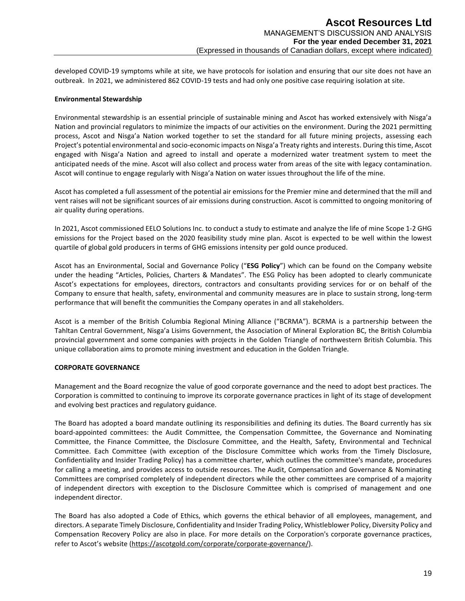developed COVID-19 symptoms while at site, we have protocols for isolation and ensuring that our site does not have an outbreak. In 2021, we administered 862 COVID-19 tests and had only one positive case requiring isolation at site.

## **Environmental Stewardship**

Environmental stewardship is an essential principle of sustainable mining and Ascot has worked extensively with Nisga'a Nation and provincial regulators to minimize the impacts of our activities on the environment. During the 2021 permitting process, Ascot and Nisga'a Nation worked together to set the standard for all future mining projects, assessing each Project's potential environmental and socio-economic impacts on Nisga'a Treaty rights and interests. During this time, Ascot engaged with Nisga'a Nation and agreed to install and operate a modernized water treatment system to meet the anticipated needs of the mine. Ascot will also collect and process water from areas of the site with legacy contamination. Ascot will continue to engage regularly with Nisga'a Nation on water issues throughout the life of the mine.

Ascot has completed a full assessment of the potential air emissions for the Premier mine and determined that the mill and vent raises will not be significant sources of air emissions during construction. Ascot is committed to ongoing monitoring of air quality during operations.

In 2021, Ascot commissioned EELO Solutions Inc. to conduct a study to estimate and analyze the life of mine Scope 1-2 GHG emissions for the Project based on the 2020 feasibility study mine plan. Ascot is expected to be well within the lowest quartile of global gold producers in terms of GHG emissions intensity per gold ounce produced.

Ascot has an Environmental, Social and Governance Policy ("**ESG Policy**") which can be found on the Company website under the heading "Articles, Policies, Charters & Mandates". The ESG Policy has been adopted to clearly communicate Ascot's expectations for employees, directors, contractors and consultants providing services for or on behalf of the Company to ensure that health, safety, environmental and community measures are in place to sustain strong, long-term performance that will benefit the communities the Company operates in and all stakeholders.

Ascot is a member of the British Columbia Regional Mining Alliance ("BCRMA"). BCRMA is a partnership between the Tahltan Central Government, Nisga'a Lisims Government, the Association of Mineral Exploration BC, the British Columbia provincial government and some companies with projects in the Golden Triangle of northwestern British Columbia. This unique collaboration aims to promote mining investment and education in the Golden Triangle.

#### **CORPORATE GOVERNANCE**

Management and the Board recognize the value of good corporate governance and the need to adopt best practices. The Corporation is committed to continuing to improve its corporate governance practices in light of its stage of development and evolving best practices and regulatory guidance.

The Board has adopted a board mandate outlining its responsibilities and defining its duties. The Board currently has six board-appointed committees: the Audit Committee, the Compensation Committee, the Governance and Nominating Committee, the Finance Committee, the Disclosure Committee, and the Health, Safety, Environmental and Technical Committee. Each Committee (with exception of the Disclosure Committee which works from the Timely Disclosure, Confidentiality and Insider Trading Policy) has a committee charter, which outlines the committee's mandate, procedures for calling a meeting, and provides access to outside resources. The Audit, Compensation and Governance & Nominating Committees are comprised completely of independent directors while the other committees are comprised of a majority of independent directors with exception to the Disclosure Committee which is comprised of management and one independent director.

The Board has also adopted a Code of Ethics, which governs the ethical behavior of all employees, management, and directors. A separate Timely Disclosure, Confidentiality and Insider Trading Policy, Whistleblower Policy, Diversity Policy and Compensation Recovery Policy are also in place. For more details on the Corporation's corporate governance practices, refer to Ascot's website ([https://ascotgold.com/corporate/corporate-governance/\)](https://ascotgold.com/corporate/corporate-governance/).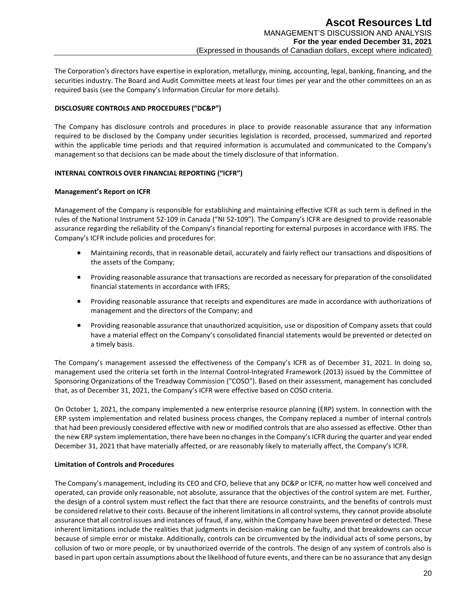The Corporation's directors have expertise in exploration, metallurgy, mining, accounting, legal, banking, financing, and the securities industry. The Board and Audit Committee meets at least four times per year and the other committees on an as required basis (see the Company's Information Circular for more details).

## **DISCLOSURE CONTROLS AND PROCEDURES ("DC&P")**

The Company has disclosure controls and procedures in place to provide reasonable assurance that any information required to be disclosed by the Company under securities legislation is recorded, processed, summarized and reported within the applicable time periods and that required information is accumulated and communicated to the Company's management so that decisions can be made about the timely disclosure of that information.

#### **INTERNAL CONTROLS OVER FINANCIAL REPORTING ("ICFR")**

#### **Management's Report on ICFR**

Management of the Company is responsible for establishing and maintaining effective ICFR as such term is defined in the rules of the National Instrument 52-109 in Canada ("NI 52-109"). The Company's ICFR are designed to provide reasonable assurance regarding the reliability of the Company's financial reporting for external purposes in accordance with IFRS. The Company's ICFR include policies and procedures for:

- Maintaining records, that in reasonable detail, accurately and fairly reflect our transactions and dispositions of the assets of the Company;
- Providing reasonable assurance that transactions are recorded as necessary for preparation of the consolidated financial statements in accordance with IFRS;
- Providing reasonable assurance that receipts and expenditures are made in accordance with authorizations of management and the directors of the Company; and
- Providing reasonable assurance that unauthorized acquisition, use or disposition of Company assets that could have a material effect on the Company's consolidated financial statements would be prevented or detected on a timely basis.

The Company's management assessed the effectiveness of the Company's ICFR as of December 31, 2021. In doing so, management used the criteria set forth in the Internal Control‐Integrated Framework (2013) issued by the Committee of Sponsoring Organizations of the Treadway Commission ("COSO"). Based on their assessment, management has concluded that, as of December 31, 2021, the Company's ICFR were effective based on COSO criteria.

On October 1, 2021, the company implemented a new enterprise resource planning (ERP) system. In connection with the ERP system implementation and related business process changes, the Company replaced a number of internal controls that had been previously considered effective with new or modified controls that are also assessed as effective. Other than the new ERP system implementation, there have been no changes in the Company's ICFR during the quarter and year ended December 31, 2021 that have materially affected, or are reasonably likely to materially affect, the Company's ICFR.

#### **Limitation of Controls and Procedures**

The Company's management, including its CEO and CFO, believe that any DC&P or ICFR, no matter how well conceived and operated, can provide only reasonable, not absolute, assurance that the objectives of the control system are met. Further, the design of a control system must reflect the fact that there are resource constraints, and the benefits of controls must be considered relative to their costs. Because of the inherent limitations in all control systems, they cannot provide absolute assurance that all control issues and instances of fraud, if any, within the Company have been prevented or detected. These inherent limitations include the realities that judgments in decision-making can be faulty, and that breakdowns can occur because of simple error or mistake. Additionally, controls can be circumvented by the individual acts of some persons, by collusion of two or more people, or by unauthorized override of the controls. The design of any system of controls also is based in part upon certain assumptions about the likelihood of future events, and there can be no assurance that any design